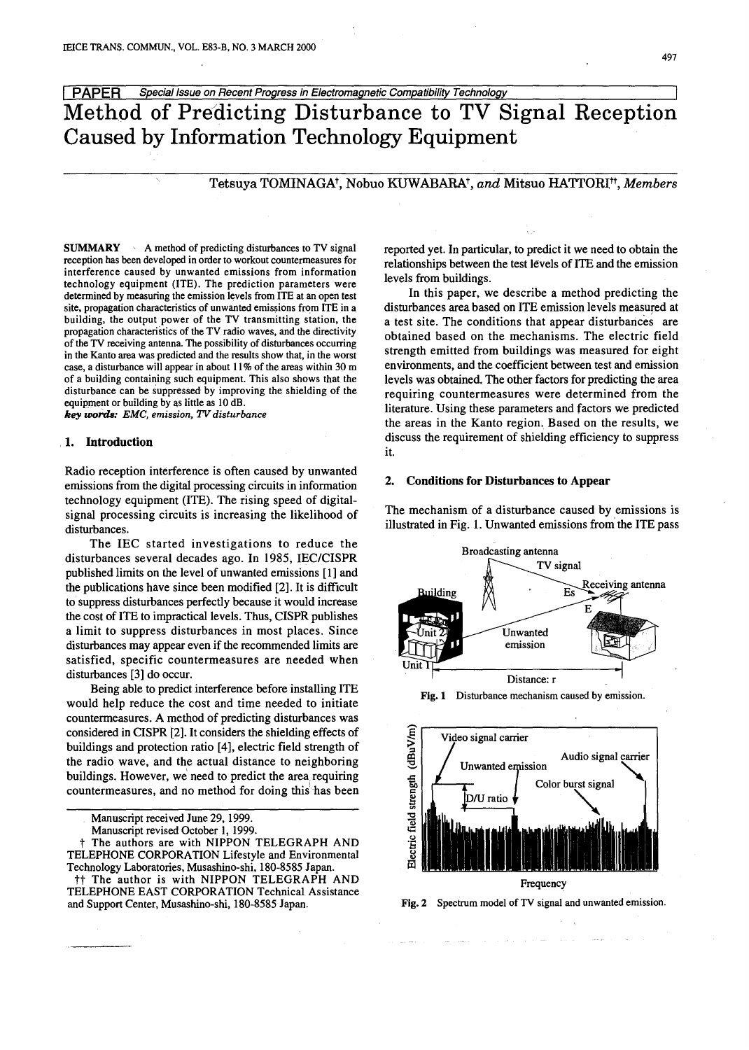**I PAPER** Special Issue on Recent Progress in Electromagnetic Compatibility Technology

Method of Predicting Disturbance to TV Signal Reception Caused by Information Technology Equipment

# Tetsuya TOMINAGA<sup>†</sup>, Nobuo KUWABARA<sup>†</sup>, and Mitsuo HATTORI<sup>††</sup>, Members

**SUMMARY**  $\cdot$  A method of predicting disturbances to TV signal reception has been developed in order to workout countermeasures for interference caused by unwanted emissions from information technology equipment (lTE). The prediction parameters were determined by measuring the emission levels from ITE at an open test site, propagation characteristics of unwanted emissions from ITE in a building, the output power of the TV transmitting station, the propagation characteristics of the TV radio waves, and the directivity of the TV receiving antenna. The possibility of disturbances occurring in the Kanto area was predicted and the results show that, in the worst case, a disturbance will appear in about  $11\%$  of the areas within 30 m of a building containing such equipment. This also shows that the disturbance can be suppressed by improving the shielding of the equipment or building by as little as 10 dB.

*key UJora.s: EMC, emission, TV disturbance*

## 1. Introduction

Radio reception interference is often caused by unwanted emissions from the digital processing circuits in information technology equipment (ITE). The rising speed of digitalsignal processing circuits is increasing the likelihood of disturbances.

The IEC started investigations to reduce the disturbances several decades ago. In 1985; IEC/CISPR published limits on the level of unwanted emissions [1] and the publications have since been modified [2]. It is difficult to suppress disturbances perfectly because it would increase the cost of lTE to impractical levels. Thus, CISPR publishes a limit to suppress disturbances in most places. Since disturbances may appear even if the recommended limits are satisfied, specific countermeasures are needed when disturbances [3] do occur.

Being able to predict interference before installing ITE would help reduce the cost and time needed to initiate countermeasures. A method of predicting disturbances was considered in CISPR [2]. It considers the shielding effects of buildings and protection ratio [4], electric field strength of the radio wave, and the actual distance to neighboring buildings. However, we need to predict the area requiring countermeasures, and no method for doing this has been

Manuscript received June 29, 1999.

Manuscript revised October 1, 1999.

t The authors are with NIPPON TELEGRAPH AND TELEPHONE CORPORATION Lifestyle and Environmental Technology Laboratories, Musashino-shi, 180-8585 Japan.

tt The author is with NIPPON TELEGRAPH AND TELEPHONE EAST CORPORATION Technical Assistance and Support Center, Musashino-shi, 180-8585 Japan.

reported yet. In particular, to predict it we need to obtain the relationships between the test levels of lTE and the emission levels from buildings.

In this paper, we describe a method predicting the disturbances area based on ITE emission levels measured at a test site. The conditions that appear disturbances are obtained based on the mechanisms. The electric field strength emitted from buildings was measured for eight environments, and the coefficient between test and emission levels was obtained. The other factors for predicting the area requiring countermeasures were determined from the literature. Using these parameters and factors we predicted the areas in the Kanto region. Based on the results, we discuss the requirement of shielding efficiency to suppress it.

#### 2. Conditions for Disturbances to Appear

The mechanism of a disturbance caused by emissions is illustrated in Fig. 1. Unwanted emissions from the ITE pass







Fig. 2 Spectrum model of TV signal and unwanted emission.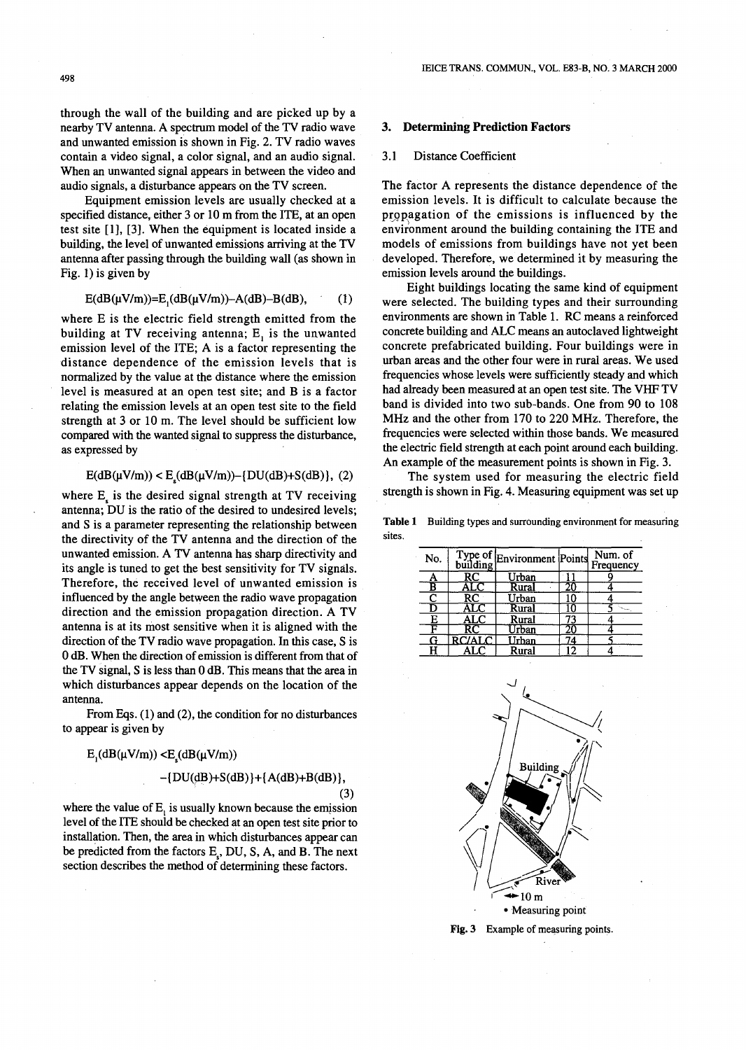through the wall of the building and are picked up by a nearby TV antenna. A spectrum model of the TV radio wave and unwanted emission is shown in Fig. 2. TV radio waves contain a video signal, a color signal, and an audio signal. When an unwanted signal appears in between the video and audio signals, a disturbance appears on the TV screen.

Equipment emission levels are usually checked at a specified distance, either 3 or 10 m from the ITE, at an open test site [I], [3]. When the equipment is located inside a building, the level of unwanted emissions arriving at the TV antenna after passing through the building wall (as shown in Fig. 1) is given by

$$
E(dB(\mu V/m))=E_{1}(dB(\mu V/m))-A(dB)-B(dB), \qquad (1)
$$

where E is the electric field strength emitted from the building at TV receiving antenna;  $E_i$  is the unwanted emission level of the ITE; A is a factor representing the distance dependence of the emission levels that is normalized by the value at the distance where the emission level is measured at an open test site; and B is a factor relating the emission levels at an open test site to the field strength at 3 or 10 m. The level should be sufficient low compared with the wanted signal to suppress the disturbance, as expressed by

$$
E(dB(\mu V/m)) < E_s(dB(\mu V/m)) - \{DU(dB) + S(dB)\}, (2)
$$

where  $E_s$  is the desired signal strength at TV receiving antenna; DU is the ratio of the desired to undesired levels; and S is a parameter representing the relationship between the directivity of the TV antenna and the direction of the unwanted emission. A TV antenna has sharp directivity and its angle is tuned to get the best sensitivity for TV signals. Therefore, the received level of unwanted emission is influenced by the angle between the radio wave propagation direction and the emission propagation direction. A TV antenna is at its most sensitive when it is aligned with the direction of the TV radio wave propagation. In this case, S is 0 dB. When the direction of emission is different from that of the TV signal, S is less than 0 dB. This means that the area in which disturbances appear depends on the location of the antenna.

From Eqs. (1) and (2), the condition for no disturbances to appear is given by

$$
E_{1}(dB(\mu V/m)) < E_{s}(dB(\mu V/m))
$$

$$
-[DU(dB)+S(dB)]+[A(dB)+B(dB)],
$$

(3)

where the value of  $E<sub>i</sub>$  is usually known because the emission level of the ITE should be checked at an open test site prior to installation. Then, the area in which disturbances appear can be predicted from the factors E<sub>c</sub>, DU, S, A, and B. The next section describes the method of determining these factors.

## **3. Determining Prediction Factors**

## 3.1 Distance Coefficient

The factor A represents the distance dependence of the emission levels. It is difficult to calculate because the propagation of the emissions is influenced by the environment around the building containing the ITE and models of emissions from buildings have not yet been developed. Therefore, we determined it by measuring the emission levels around the buildings.

Eight buildings locating the same kind of equipment were selected. The building types and their surrounding environments are shown in Table 1. RC means a reinforced concrete building and ALC means an autoclaved lightweight concrete prefabricated building. Four buildings were in urban areas and the other four were in rural areas. We used frequencies whose levels were sufficiently steady and which had already been measured at an open test site. The VHF TV band is divided into two sub-bands. One from 90 to 108 MHz and the other from 170 to 220 MHz. Therefore, the frequencies were selected within those bands. We measured the electric field strength at each point around each building. An example of the measurement points is shown in Fig. 3.

The system used for measuring the electric field strength is shown in Fig. 4. Measuring equipment was set up

**Table 1** Building types and surrounding environment for measuring sites.

| No. |        | Type of Environment Points |                 | Num. of<br>Frequency |
|-----|--------|----------------------------|-----------------|----------------------|
| Α   | RC     | Urban                      |                 |                      |
| B   | ALC    | Rural                      |                 |                      |
| C   | RC     | Urban                      | 10              |                      |
| D   |        | Rural                      |                 |                      |
| Ε   | ALC    | Rural                      | 73              |                      |
| F   |        | Urban                      | 20              |                      |
|     | RC/ALC | Urban                      | $4\overline{4}$ |                      |
|     | AL C   | Rural                      | ר ו             |                      |



Fig. 3 Example of measuring points.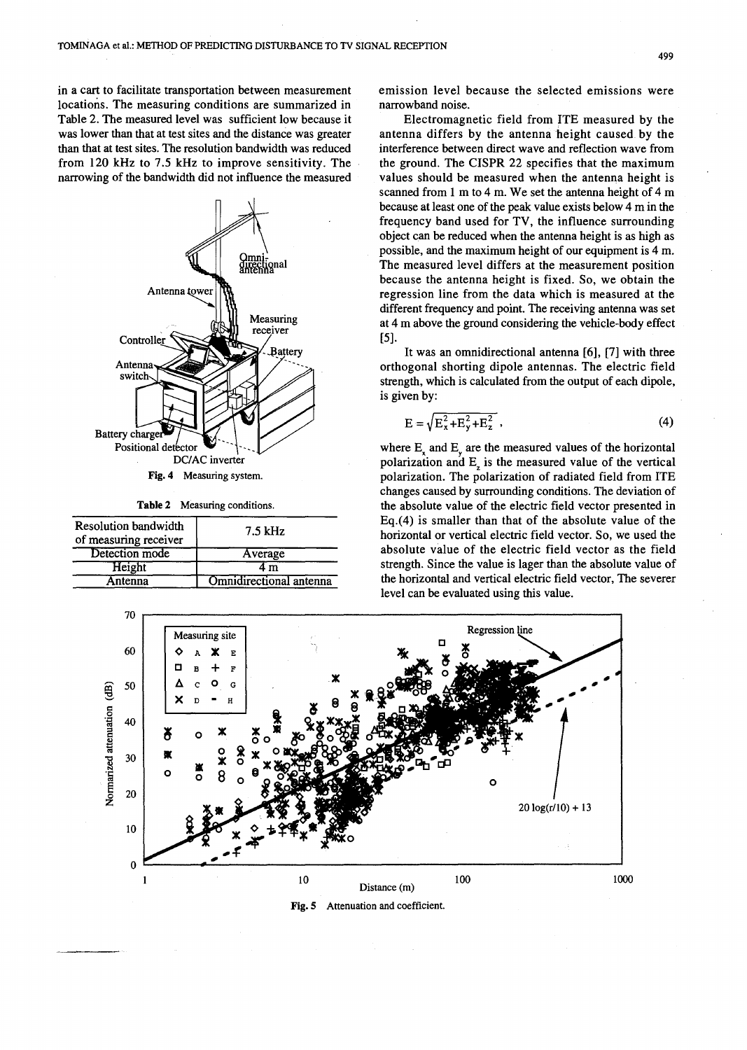in a cart to facilitate transportation between measurement locations, The measuring conditions are summarized in Table 2. The measured level was sufficient low because it was lower than that at test sites and the distance was greater than that at test sites. The resolution bandwidth was reduced from 120 kHz to 7.5 kHz to improve sensitivity. The narrowing of the bandwidth did not influence the measured



**Table** 2 Measuring conditions.

| Resolution bandwidth<br>of measuring receiver | 7.5 kHz                 |  |  |  |
|-----------------------------------------------|-------------------------|--|--|--|
| Detection mode                                | Average                 |  |  |  |
| Height                                        | $\mathbf{m}$            |  |  |  |
| Antenna                                       | Omnidirectional antenna |  |  |  |

emission level because the selected emissions were narrowband noise.

Electromagnetic field from ITE measured by the antenna differs by the antenna height caused by the interference between direct wave and reflection wave from the ground. The CISPR 22 specifies that the maximum values should be measured when the antenna height is scanned from 1 m to 4 m. We set the antenna height of 4 m because at least one of the peak value exists below 4 m in the frequency band used for TV, the influence surrounding object can be reduced when the antenna height is as high as possible, and the maximum height of our equipment is 4 m. The measured level differs at the measurement position because the antenna height is fixed. So, we obtain the regression line from the data which is measured at the different frequency and point. The receiving antenna was set at 4 m above the ground considering the vehicle-body effect [5].

It was an omnidirectional antenna [6], [7] with three orthogonal shorting dipole antennas. The electric field strength, which is calculated from the output of each dipole, is given by:

$$
E = \sqrt{E_x^2 + E_y^2 + E_z^2} \tag{4}
$$

where E and E are the measured values of the horizontal polarization and  $E<sub>z</sub>$  is the measured value of the vertical polarization. The polarization of radiated field from ITE changes caused by surrounding conditions. The deviation of the absolute value of the electric field vector presented in Eq.(4) is smaller than that of the absolute value of the horizontal or vertical electric field vector. So, we used the absolute value of the electric field vector as the field strength. Since the value is lager than the absolute value of the horizontal and vertical electric field vector, The severer level can be evaluated using this value.

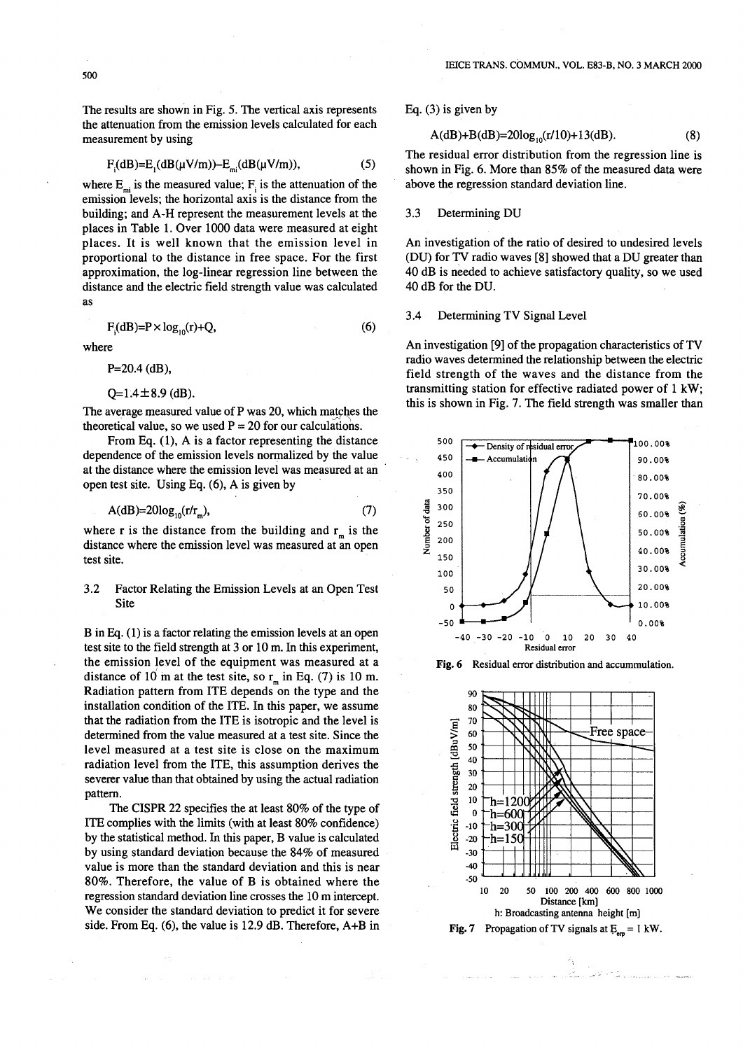The results are shown in Fig. 5. The vertical axis represents the attenuation from the emission levels calculated for each measurement by using

$$
F_{i}(dB) = E_{i}(dB(\mu V/m)) - E_{mi}(dB(\mu V/m)),
$$
 (5)

where  $E_{mi}$  is the measured value;  $F_i$  is the attenuation of the emission levels; the horizontal axis is the distance from the building; and A-H represent the measurement levels at the places in Table 1. Over 1000 data were measured at eight places. It is well known that the emission level in proportional to the distance in free space. For the first approximation, the log-linear regression line between the distance and the electric field strength value was calculated as

$$
F_{i}(dB) = P \times \log_{10}(r) + Q,
$$
\n(6)

where

P=20.4 (dB),

 $Q=1.4\pm8.9$  (dB).

The average measured value of P was 20, which matches the theoretical value, so we used  $P = 20$  for our calculations.

From Eq. (1), A is a factor representing the distance dependence of the emission levels normalized by the value at the distance where the emission level was measured at an open test site. Using Eq. (6), A is given by

$$
A(dB)=20log_{10}(r/rm),
$$
\n(7)

where r is the distance from the building and  $r_m$  is the distance where the emission level was measured at an open test site.

## 3.2 Factor Relating the Emission Levels at an Open Test Site

Bin Eq.(1) is a factor relating the emission levels at an open test site to the field strength at 3 or 10 m. In this experiment, the emission level of the equipment was measured at a distance of 10 m at the test site, so  $r_m$  in Eq. (7) is 10 m. Radiation pattern from ITE depends on the type and the installation condition of the ITE. In this paper, we assume that the radiation from the ITE is isotropic and the level is determined from the value measured at a test site. Since the level measured at a test site is close on the maximum radiation level from the ITE, this assumption derives the severer value than that obtained by using the actual radiation pattern.

The CISPR 22 specifies the at least 80% of the type of ITE complies with the limits (with at least 80% confidence) by the statistical method. In this paper, B value is calculated by using standard deviation because the 84% of measured value is more than the standard deviation and this is near 80%. Therefore, the value of B is obtained where the regression standard deviation line crosses the 10 m intercept. We consider the standard deviation to predict it for severe side. From Eq. (6), the value is 12.9 dB. Therefore, A+B in

## Eq. (3) is given by

$$
A(dB) + B(dB) = 20\log_{10}(r/10) + 13(dB). \tag{8}
$$

The residual error distribution from the regression line is shown in Fig. 6. More than 85% of the measured data were above the regression standard deviation line.

#### 3.3 Determining DU

An investigation of the ratio of desired to undesired levels (DU) for TV radio waves [8] showed that a DU greater than 40 dB is needed to achieve satisfactory quality, so we used 40 dB for the DU.

#### 3.4 Determining TV Signal Level

An investigation [9] of the propagation characteristics of TV radio waves determined the relationship between the electric field strength of the waves and the distance from the transmitting station for effective radiated power of 1 kW; this is shown in Fig. 7. The field strength was smaller than



Fig. 6 Residual error distribution and accummulation.

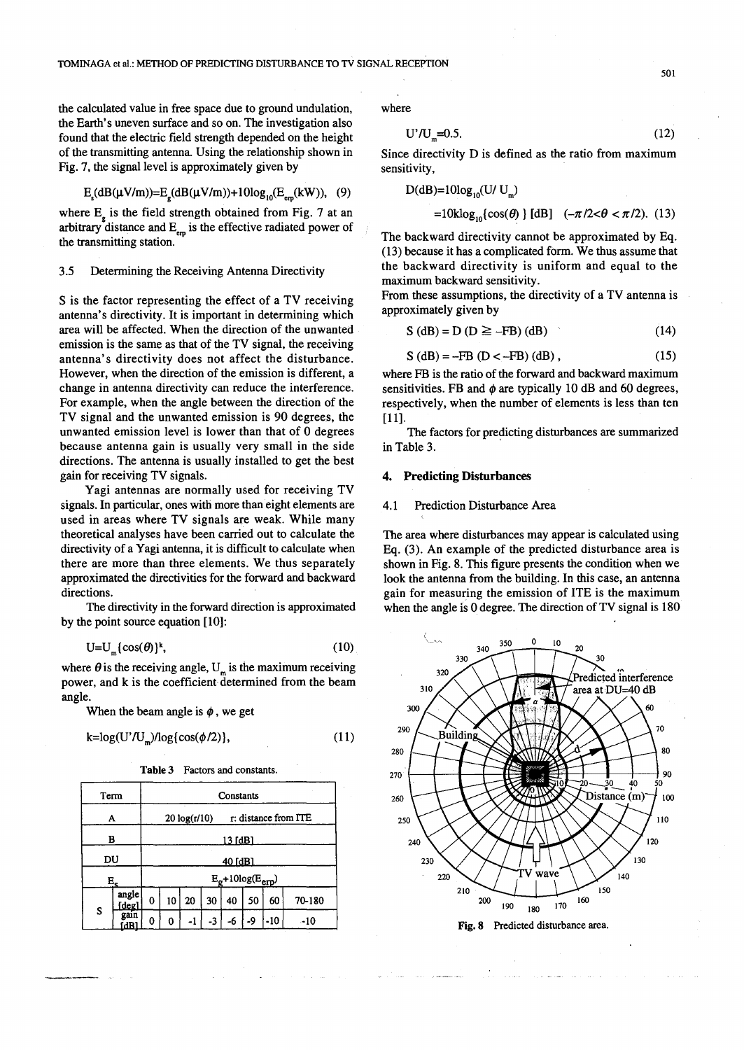the calculated value in free space due to ground undulation, the Earth's uneven surface and so on. The investigation also found that the electric field strength depended on the height of the transmitting antenna. Using the relationship shown in Fig. 7, the signal level is approximately given by

$$
E_{\rm s}(dB(\mu V/m))=E_{\rm s}(dB(\mu V/m))+10\log_{10}(E_{\rm em}(kW)),
$$
 (9)

where  $E<sub>a</sub>$  is the field strength obtained from Fig. 7 at an arbitrary distance and  $E_{em}$  is the effective radiated power of the transmitting station.

## 3.5 Determining the Receiving Antenna Directivity

S is the factor representing the effect of a TV receiving antenna's directivity. It is important in determining which area will be affected. When the direction of the unwanted emission is the same as that of the TV signal, the receiving antenna's directivity does not affect the disturbance. However, when the direction of the emission is different, a change in antenna directivity can reduce the interference. For example, when the angle between the direction of the TV signal and the unwanted emission is 90 degrees, the unwanted emission level is lower than that of 0 degrees because antenna gain is usually very small in the side directions. The antenna is usually installed to get the best gain for receiving TV signals.

Yagi antennas are normally used for receiving TV signals. In particular, ones with more than eight elements are used in areas where TV signals are weak. While many theoretical analyses have been carried out to calculate the directivity of a Yagi antenna, it is difficult to calculate when there are more than three elements. We thus separately approximated the directivities for the forward and backward directions.

The directivity in the forward direction is approximated by the point source equation [10]:

$$
U=U_{m}\{\cos(\theta)\}^{k},\tag{10}
$$

where  $\theta$  is the receiving angle, U<sub>n</sub> is the maximum receiving power, and k is the coefficient determined from the beam angle.

When the beam angle is  $\phi$ , we get

$$
k = log(U' / U_m) / log{cos(\phi/2)}, \qquad (11)
$$

Table 3 Factors and constants.

| Term |                | Constants                            |    |    |      |    |    |       |        |
|------|----------------|--------------------------------------|----|----|------|----|----|-------|--------|
| A    |                | r: distance from ITE<br>20 log(r/10) |    |    |      |    |    |       |        |
| B    |                | 13 [dB]                              |    |    |      |    |    |       |        |
| DU   |                | 40 [dB]                              |    |    |      |    |    |       |        |
| E.   |                | $E_g + 10log(E_{exp})$               |    |    |      |    |    |       |        |
| S    | angle<br>[deg] | 0                                    | 10 | 20 | 30   | 40 | 50 | 60    | 70-180 |
|      | gain<br>άB     | 0                                    | 0  | -1 | $-3$ | -6 | -9 | $-10$ | $-10$  |

where

$$
U' / U_m = 0.5. \tag{12}
$$

Since directivity D is defined as the ratio from maximum sensitivity,

D(dB)=10log<sub>10</sub>(U/U<sub>m</sub>)  
=10klog<sub>10</sub>{cos(
$$
\theta
$$
) [dB]  $(-\pi/2 < \theta < \pi/2)$ . (13)

The backward directivity cannot be approximated by Eq. (13) because it has a complicated form. We thus assume that the backward directivity is uniform and equal to the maximum backward sensitivity.

From these assumptions, the directivity of a TV antenna is approximately given by

$$
S(dB) = D(D \ge -FB) (dB)
$$
 (14)

$$
S (dB) = -FB (D < -FB) (dB),
$$
 (15)

where FB is the ratio of the forward and backward maximum sensitivities. FB and  $\phi$  are typically 10 dB and 60 degrees, respectively, when the number of elements is less than ten [11].

The factors for predicting disturbances are summarized in Table 3.

## 4. Predicting Disturbances

## 4.1 Prediction Disturbance Area

The area where disturbances may appear is calculated using Eq. (3). An example of the predicted disturbance area is shown in Fig. 8. This figure presents the condition when we look the antenna from the building. In this case, an antenna gain for measuring the emission of ITE is the maximum when the angle is 0 degree. The direction of TV signal is 180